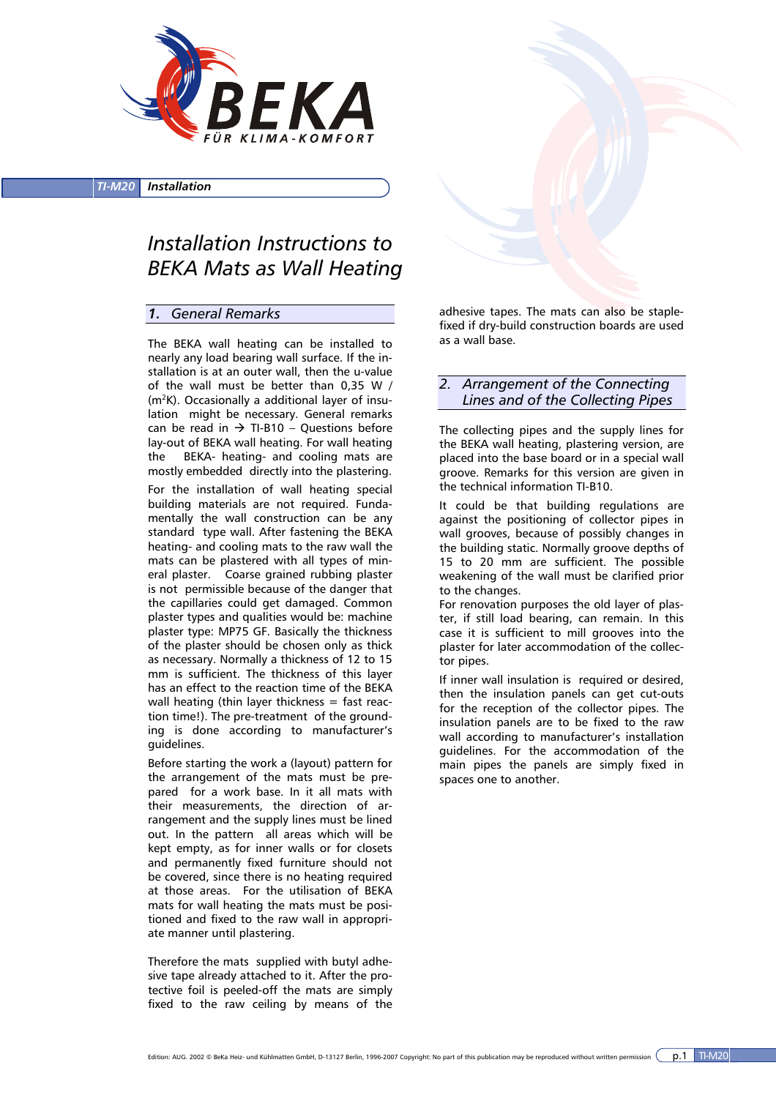

#### *TI-M20 Installation*

# *Installation Instructions to BEKA Mats as Wall Heating*

## *1. General Remarks*

The BEKA wall heating can be installed to nearly any load bearing wall surface. If the installation is at an outer wall, then the u-value of the wall must be better than 0,35 W / (m<sup>2</sup>K). Occasionally a additional layer of insulation might be necessary. General remarks can be read in  $\rightarrow$  TI-B10 – Ouestions before lay-out of BEKA wall heating. For wall heating the BEKA- heating- and cooling mats are mostly embedded directly into the plastering.

For the installation of wall heating special building materials are not required. Fundamentally the wall construction can be any standard type wall. After fastening the BEKA heating- and cooling mats to the raw wall the mats can be plastered with all types of mineral plaster. Coarse grained rubbing plaster is not permissible because of the danger that the capillaries could get damaged. Common plaster types and qualities would be: machine plaster type: MP75 GF. Basically the thickness of the plaster should be chosen only as thick as necessary. Normally a thickness of 12 to 15 mm is sufficient. The thickness of this layer has an effect to the reaction time of the BEKA wall heating (thin layer thickness  $=$  fast reaction time!). The pre-treatment of the grounding is done according to manufacturer's guidelines.

Before starting the work a (layout) pattern for the arrangement of the mats must be prepared for a work base. In it all mats with their measurements, the direction of arrangement and the supply lines must be lined out. In the pattern all areas which will be kept empty, as for inner walls or for closets and permanently fixed furniture should not be covered, since there is no heating required at those areas. For the utilisation of BEKA mats for wall heating the mats must be positioned and fixed to the raw wall in appropriate manner until plastering.

Therefore the mats supplied with butyl adhesive tape already attached to it. After the protective foil is peeled-off the mats are simply fixed to the raw ceiling by means of the



## *2. Arrangement of the Connecting Lines and of the Collecting Pipes*

The collecting pipes and the supply lines for the BEKA wall heating, plastering version, are placed into the base board or in a special wall groove. Remarks for this version are given in the technical information TI-B10.

It could be that building regulations are against the positioning of collector pipes in wall grooves, because of possibly changes in the building static. Normally groove depths of 15 to 20 mm are sufficient. The possible weakening of the wall must be clarified prior to the changes.

For renovation purposes the old layer of plaster, if still load bearing, can remain. In this case it is sufficient to mill grooves into the plaster for later accommodation of the collector pipes.

If inner wall insulation is required or desired, then the insulation panels can get cut-outs for the reception of the collector pipes. The insulation panels are to be fixed to the raw wall according to manufacturer's installation guidelines. For the accommodation of the main pipes the panels are simply fixed in spaces one to another.